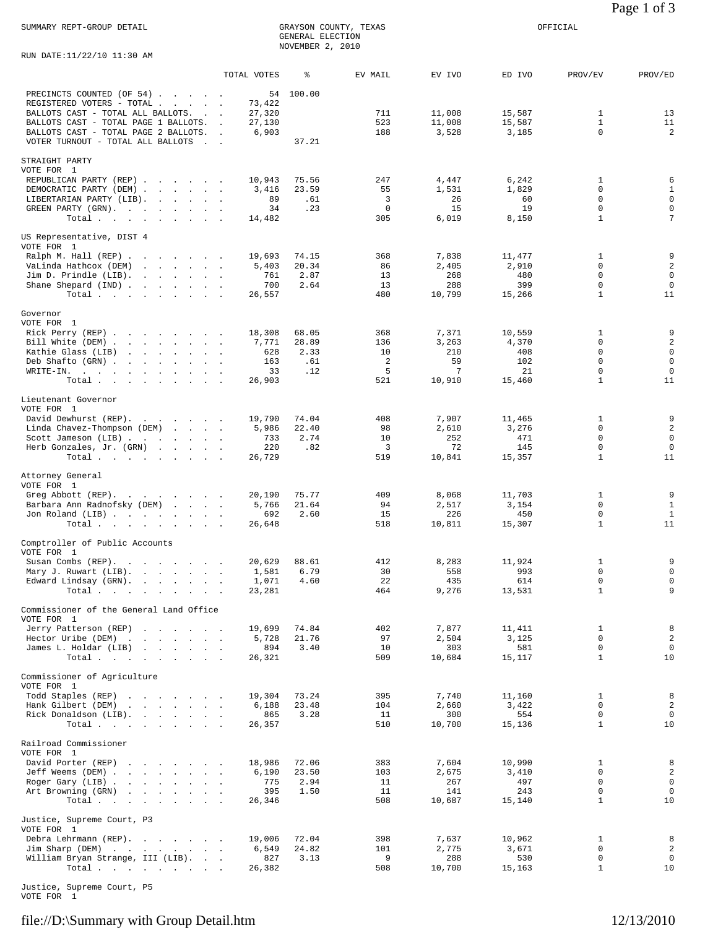RUN DATE:11/22/10 11:30 AM

|                                                                                                                                                                                                                                                                        | TOTAL VOTES                                         | ៖                                    | EV MAIL                               | EV IVO                                     | ED IVO                                        | PROV/EV                                                                        | PROV/ED                                                            |
|------------------------------------------------------------------------------------------------------------------------------------------------------------------------------------------------------------------------------------------------------------------------|-----------------------------------------------------|--------------------------------------|---------------------------------------|--------------------------------------------|-----------------------------------------------|--------------------------------------------------------------------------------|--------------------------------------------------------------------|
| PRECINCTS COUNTED (OF 54)<br>REGISTERED VOTERS - TOTAL .<br>and the state of the state of<br>BALLOTS CAST - TOTAL ALL BALLOTS.<br>$\sim$ $\sim$<br>BALLOTS CAST - TOTAL PAGE 1 BALLOTS.<br>BALLOTS CAST - TOTAL PAGE 2 BALLOTS. .<br>VOTER TURNOUT - TOTAL ALL BALLOTS | 54<br>73,422<br>27,320<br>27,130<br>$\sim$<br>6,903 | 100.00<br>37.21                      | 711<br>523<br>188                     | 11,008<br>11,008<br>3,528                  | 15,587<br>15,587<br>3,185                     | 1<br>$\mathbf{1}$<br>$\mathbf 0$                                               | 13<br>11<br>$\overline{a}$                                         |
| STRAIGHT PARTY<br>VOTE FOR 1<br>REPUBLICAN PARTY (REP)<br>DEMOCRATIC PARTY (DEM)<br>LIBERTARIAN PARTY (LIB).<br>GREEN PARTY (GRN).<br>Total                                                                                                                            | 10,943<br>3,416<br>89<br>34<br>14,482               | 75.56<br>23.59<br>.61<br>.23         | 247<br>55<br>3<br>$\mathbf{0}$<br>305 | 4,447<br>1,531<br>26<br>15<br>6,019        | 6,242<br>1,829<br>60<br>19<br>8,150           | 1<br>0<br>$\mathbf 0$<br>$\mathbf 0$<br>$\mathbf{1}$                           | 6<br>$\,1$<br>$\mathsf 0$<br>$\mathsf 0$<br>$\sqrt{ }$             |
| US Representative, DIST 4<br>VOTE FOR 1<br>Ralph M. Hall (REP)<br>VaLinda Hathcox (DEM)<br>the contract of the contract of<br>Jim D. Prindle (LIB).<br>Shane Shepard (IND)<br>Total                                                                                    | 19,693<br>5,403<br>761<br>700<br>26,557             | 74.15<br>20.34<br>2.87<br>2.64       | 368<br>86<br>13<br>13<br>480          | 7,838<br>2,405<br>268<br>288<br>10,799     | 11,477<br>2,910<br>480<br>399<br>15,266       | 1<br>$\Omega$<br>$\mathbf 0$<br>0<br>$\mathbf{1}$                              | 9<br>$\sqrt{2}$<br>$\mathbf 0$<br>$\overline{0}$<br>11             |
| Governor<br>VOTE FOR 1<br>Rick Perry (REP)<br>Bill White (DEM)<br>Kathie Glass (LIB)<br>Deb Shafto (GRN)<br>WRITE-IN.<br>Total                                                                                                                                         | 18,308<br>7,771<br>628<br>163<br>33<br>26,903       | 68.05<br>28.89<br>2.33<br>.61<br>.12 | 368<br>136<br>10<br>2<br>5<br>521     | 7,371<br>3,263<br>210<br>59<br>7<br>10,910 | 10,559<br>4,370<br>408<br>102<br>21<br>15,460 | $\mathbf{1}$<br>$\mathbf 0$<br>0<br>$\mathbf 0$<br>$\mathbf 0$<br>$\mathbf{1}$ | 9<br>$\sqrt{2}$<br>$\mathsf 0$<br>$\mathsf 0$<br>$\mathbf 0$<br>11 |
| Lieutenant Governor<br>VOTE FOR 1<br>David Dewhurst (REP).<br>Linda Chavez-Thompson (DEM)<br>Scott Jameson (LIB)<br>Herb Gonzales, Jr. (GRN)<br>Total                                                                                                                  | 19,790<br>5,986<br>733<br>220<br>26,729             | 74.04<br>22.40<br>2.74<br>.82        | 408<br>98<br>10<br>3<br>519           | 7,907<br>2,610<br>252<br>72<br>10,841      | 11,465<br>3,276<br>471<br>145<br>15,357       | 1<br>$\mathbf 0$<br>$\mathbf 0$<br>$\mathbf 0$<br>$\mathbf{1}$                 | 9<br>$\sqrt{2}$<br>$\mathbf 0$<br>$\overline{0}$<br>11             |
| Attorney General<br>VOTE FOR 1<br>Greg Abbott (REP).<br>Barbara Ann Radnofsky (DEM)<br>Jon Roland (LIB)<br>Total $\cdots$ $\cdots$ $\cdots$                                                                                                                            | 20,190<br>5,766<br>692<br>26,648                    | 75.77<br>21.64<br>2.60               | 409<br>94<br>15<br>518                | 8,068<br>2,517<br>226<br>10,811            | 11,703<br>3,154<br>450<br>15,307              | 1<br>$\mathbf 0$<br>$\mathbf 0$<br>$\mathbf{1}$                                | 9<br>$\mathbf{1}$<br>$\mathbf{1}$<br>11                            |
| Comptroller of Public Accounts<br>VOTE FOR 1<br>Susan Combs (REP).<br>Mary J. Ruwart (LIB).<br>Edward Lindsay (GRN).<br>the company of the company<br>Total                                                                                                            | 20,629<br>1,581<br>1,071<br>23,281                  | 88.61<br>6.79<br>4.60                | 412<br>30<br>22<br>464                | 8,283<br>558<br>435<br>9,276               | 11,924<br>993<br>614<br>13,531                | 1<br>0<br>$\mathbf 0$<br>$\mathbf 1$                                           | 9<br>$\mathsf 0$<br>$\mathsf 0$<br>9                               |
| Commissioner of the General Land Office<br>VOTE FOR 1<br>Jerry Patterson (REP)<br>Hector Uribe (DEM)<br>the contract of the contract of<br>$\alpha$ . $\beta$ , $\alpha$<br>James L. Holdar (LIB)<br>the contract of the contract of<br>Total                          | 19,699<br>5,728<br>894<br>26,321                    | 74.84<br>21.76<br>3.40               | 402<br>97<br>10<br>509                | 7,877<br>2,504<br>303<br>10,684            | 11,411<br>3,125<br>581<br>15,117              | 1<br>$\mathbf 0$<br>$\mathsf 0$<br>$\mathbf{1}$                                | 8<br>$\overline{a}$<br>$\overline{0}$<br>10                        |
| Commissioner of Agriculture<br>VOTE FOR 1<br>Todd Staples (REP)<br>and the contract of the contract of<br>Hank Gilbert (DEM)<br>the contract of the contract of<br>Rick Donaldson (LIB).<br>and the contract of the contract of<br>Total                               | 19,304<br>6,188<br>865<br>26,357                    | 73.24<br>23.48<br>3.28               | 395<br>104<br>11<br>510               | 7,740<br>2,660<br>300<br>10,700            | 11,160<br>3,422<br>554<br>15,136              | $\mathbf{1}$<br>$\mathbf 0$<br>$\mathbf 0$<br>$\mathbf{1}$                     | 8<br>$\overline{a}$<br>$\mathbf 0$<br>10                           |
| Railroad Commissioner<br>VOTE FOR 1<br>David Porter (REP)<br>Jeff Weems (DEM)<br>Roger Gary (LIB)<br>Art Browning (GRN)<br>Total $\cdots$                                                                                                                              | 18,986<br>6,190<br>775<br>395<br>26,346             | 72.06<br>23.50<br>2.94<br>1.50       | 383<br>103<br>11<br>11<br>508         | 7,604<br>2,675<br>267<br>141<br>10,687     | 10,990<br>3,410<br>497<br>243<br>15,140       | 1<br>$\mathbf 0$<br>$\mathbf 0$<br>0<br>$\mathbf{1}$                           | 8<br>$\overline{a}$<br>$\mathsf 0$<br>$\mathbf 0$<br>10            |
| Justice, Supreme Court, P3<br>VOTE FOR 1<br>Debra Lehrmann (REP).<br>Jim Sharp (DEM)<br>William Bryan Strange, III (LIB).<br>Total                                                                                                                                     | 19,006<br>6,549<br>827<br>26,382                    | 72.04<br>24.82<br>3.13               | 398<br>101<br>9<br>508                | 7,637<br>2,775<br>288<br>10,700            | 10,962<br>3,671<br>530<br>15,163              | 1<br>$\mathbf 0$<br>0<br>$\mathbf{1}$                                          | 8<br>$\overline{a}$<br>$\mathbf 0$<br>10                           |

Justice, Supreme Court, P5

VOTE FOR 1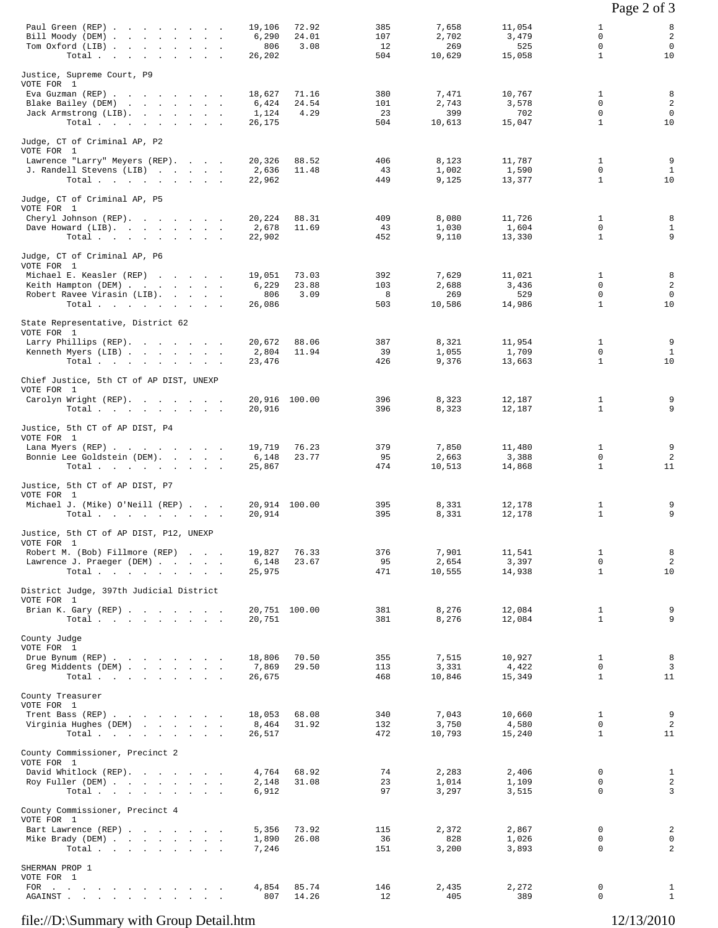|                                                                                                                                                 |                                                              |                         |                                 |                                  |                                                            | Page 2 of 3                                 |
|-------------------------------------------------------------------------------------------------------------------------------------------------|--------------------------------------------------------------|-------------------------|---------------------------------|----------------------------------|------------------------------------------------------------|---------------------------------------------|
| Paul Green (REP)<br>Bill Moody (DEM)<br>Tom Oxford (LIB)<br>Total $\cdots$ $\cdots$ $\cdots$                                                    | 72.92<br>19,106<br>6,290<br>24.01<br>3.08<br>806<br>26,202   | 385<br>107<br>12<br>504 | 7,658<br>2,702<br>269<br>10,629 | 11,054<br>3,479<br>525<br>15,058 | 1<br>$\mathbf 0$<br>$\Omega$<br>$\mathbf{1}$               | 8<br>$\overline{a}$<br>$\overline{0}$<br>10 |
| Justice, Supreme Court, P9<br>VOTE FOR 1<br>Eva Guzman (REP)<br>Blake Bailey (DEM)<br>Jack Armstrong (LIB).<br>Total $\cdots$ $\cdots$ $\cdots$ | 18,627<br>71.16<br>6,424<br>24.54<br>4.29<br>1,124<br>26,175 | 380<br>101<br>23<br>504 | 7,471<br>2,743<br>399<br>10,613 | 10,767<br>3,578<br>702<br>15,047 | $\mathbf{1}$<br>$\mathbf 0$<br>$\mathbf 0$<br>$\mathbf{1}$ | 8<br>$\overline{2}$<br>$\mathbf 0$<br>10    |
| Judge, CT of Criminal AP, P2<br>VOTE FOR 1<br>Lawrence "Larry" Meyers (REP).<br>J. Randell Stevens (LIB)<br>Total.                              | 20,326<br>88.52<br>2,636<br>11.48<br>22,962                  | 406<br>43<br>449        | 8,123<br>1,002<br>9,125         | 11,787<br>1,590<br>13,377        | $\mathbf{1}$<br>0<br>$\mathbf{1}$                          | 9<br>$\mathbf{1}$<br>10                     |
| Judge, CT of Criminal AP, P5<br>VOTE FOR 1<br>Cheryl Johnson (REP).<br>Dave Howard (LIB).<br>Total                                              | 20,224<br>88.31<br>11.69<br>2,678<br>22,902                  | 409<br>43<br>452        | 8,080<br>1,030<br>9,110         | 11,726<br>1,604<br>13,330        | $\mathbf{1}$<br>0<br>$\mathbf{1}$                          | 8<br>$\mathbf{1}$<br>9                      |
| Judge, CT of Criminal AP, P6<br>VOTE FOR 1<br>Michael E. Keasler (REP)<br>Keith Hampton (DEM)<br>Robert Ravee Virasin (LIB).<br>Total           | 19,051<br>73.03<br>6,229<br>23.88<br>806<br>3.09<br>26,086   | 392<br>103<br>8<br>503  | 7,629<br>2,688<br>269<br>10,586 | 11,021<br>3,436<br>529<br>14,986 | 1<br>$\Omega$<br>0<br>$\mathbf{1}$                         | 8<br>2<br>$\mathbf 0$<br>10                 |
| State Representative, District 62<br>VOTE FOR 1<br>Larry Phillips (REP).<br>Kenneth Myers (LIB)<br>Total $\cdots$ $\cdots$ $\cdots$             | 20,672<br>88.06<br>2,804<br>11.94<br>23,476                  | 387<br>39<br>426        | 8,321<br>1,055<br>9,376         | 11,954<br>1,709<br>13,663        | $\mathbf{1}$<br>0<br>$\mathbf{1}$                          | 9<br>$\mathbf{1}$<br>10                     |
| Chief Justice, 5th CT of AP DIST, UNEXP<br>VOTE FOR 1<br>Carolyn Wright (REP).<br>Total $\cdots$ $\cdots$ $\cdots$                              | 20,916 100.00<br>20,916                                      | 396<br>396              | 8,323<br>8,323                  | 12,187<br>12,187                 | $\mathbf{1}$<br>$\mathbf{1}$                               | 9<br>9                                      |
| Justice, 5th CT of AP DIST, P4<br>VOTE FOR 1<br>Lana Myers (REP)<br>Bonnie Lee Goldstein (DEM).<br>Total                                        | 76.23<br>19,719<br>23.77<br>6,148<br>25,867                  | 379<br>95<br>474        | 7,850<br>2,663<br>10,513        | 11,480<br>3,388<br>14,868        | 1<br>$\mathbf 0$<br>$\mathbf{1}$                           | 9<br>2<br>11                                |
| Justice, 5th CT of AP DIST, P7<br>VOTE FOR 1<br>Michael J. (Mike) O'Neill (REP)<br>Total                                                        | 20,914 100.00<br>20,914                                      | 395<br>395              | 8,331<br>8,331                  | 12,178<br>12,178                 | 1<br>$\mathbf{1}$                                          | 9<br>9                                      |
| Justice, 5th CT of AP DIST, P12, UNEXP<br>VOTE FOR 1<br>Robert M. (Bob) Fillmore (REP)<br>Lawrence J. Praeger (DEM)<br>Total.                   | 19,827<br>76.33<br>6,148<br>23.67<br>25,975                  | 376<br>95<br>471        | 7,901<br>2,654<br>10,555        | 11,541<br>3,397<br>14,938        | $\mathbf{1}$<br>$\mathsf{O}$<br>$\mathbf{1}$               | 8<br>$\overline{c}$<br>10                   |
| District Judge, 397th Judicial District<br>VOTE FOR 1<br>Brian K. Gary (REP)<br>Total.                                                          | 20,751 100.00<br>20,751                                      | 381<br>381              | 8,276<br>8,276                  | 12,084<br>12,084                 | $\mathbf{1}$<br>$\mathbf{1}$                               | 9<br>9                                      |
| County Judge<br>VOTE FOR 1<br>Drue Bynum (REP)<br>Greg Middents (DEM)<br>Total $\cdots$                                                         | 18,806<br>70.50<br>7,869<br>29.50<br>26,675                  | 355<br>113<br>468       | 7,515<br>3,331<br>10,846        | 10,927<br>4,422<br>15,349        | $\mathbf{1}$<br>0<br>$\mathbf{1}$                          | 8<br>$\overline{3}$<br>11                   |
| County Treasurer<br>VOTE FOR 1<br>Trent Bass (REP)<br>Virginia Hughes (DEM)<br>Total                                                            | 18,053<br>68.08<br>31.92<br>8,464<br>26,517                  | 340<br>132<br>472       | 7,043<br>3,750<br>10,793        | 10,660<br>4,580<br>15,240        | $\mathbf{1}$<br>$\mathbf 0$<br>$\mathbf{1}$                | 9<br>$\overline{c}$<br>11                   |
| County Commissioner, Precinct 2<br>VOTE FOR 1<br>David Whitlock (REP).<br>Roy Fuller (DEM)<br>Total                                             | 4,764<br>68.92<br>31.08<br>2,148<br>6,912                    | 74<br>23<br>97          | 2,283<br>1,014<br>3,297         | 2,406<br>1,109<br>3,515          | 0<br>0<br>$\Omega$                                         | $\mathbf{1}$<br>$\overline{a}$<br>3         |
| County Commissioner, Precinct 4<br>VOTE FOR 1<br>Bart Lawrence (REP)<br>Mike Brady (DEM)<br>Total.                                              | 5,356<br>73.92<br>26.08<br>1,890<br>7,246                    | 115<br>36<br>151        | 2,372<br>828<br>3,200           | 2,867<br>1,026<br>3,893          | 0<br>0<br>$\mathbf 0$                                      | $\overline{a}$<br>0<br>2                    |
| SHERMAN PROP 1<br>VOTE FOR 1<br>FOR $\cdots$<br>AGAINST.<br>the contract of the contract of the con-                                            | 85.74<br>4,854<br>807<br>14.26                               | 146<br>12               | 2,435<br>405                    | 2,272<br>389                     | 0<br>$\mathbf 0$                                           | $\mathbf{1}$<br>$\mathbf{1}$                |

## file://D:\Summary with Group Detail.htm 12/13/2010